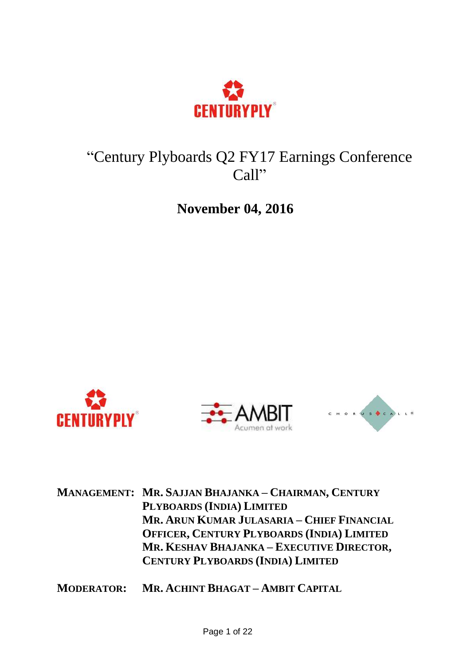

# "Century Plyboards Q2 FY17 Earnings Conference Call"

**November 04, 2016**







**MANAGEMENT: MR. SAJJAN BHAJANKA – CHAIRMAN, CENTURY PLYBOARDS (INDIA) LIMITED MR. ARUN KUMAR JULASARIA – CHIEF FINANCIAL OFFICER, CENTURY PLYBOARDS (INDIA) LIMITED MR. KESHAV BHAJANKA – EXECUTIVE DIRECTOR, CENTURY PLYBOARDS (INDIA) LIMITED**

**MODERATOR: MR. ACHINT BHAGAT – AMBIT CAPITAL**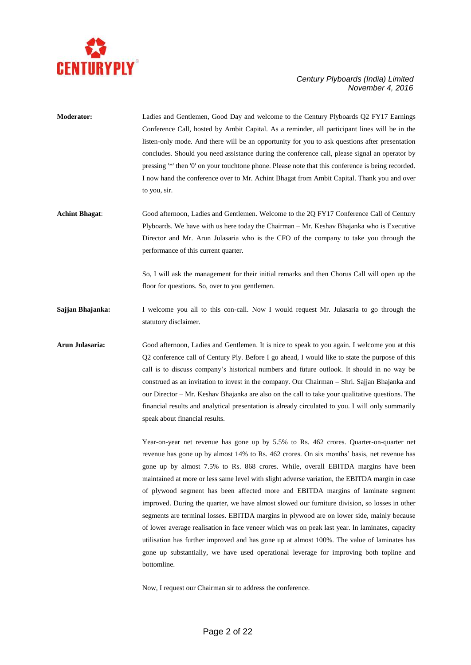

- **Moderator:** Ladies and Gentlemen, Good Day and welcome to the Century Plyboards Q2 FY17 Earnings Conference Call, hosted by Ambit Capital. As a reminder, all participant lines will be in the listen-only mode. And there will be an opportunity for you to ask questions after presentation concludes. Should you need assistance during the conference call, please signal an operator by pressing '\*' then '0' on your touchtone phone. Please note that this conference is being recorded. I now hand the conference over to Mr. Achint Bhagat from Ambit Capital. Thank you and over to you, sir.
- **Achint Bhagat**: Good afternoon, Ladies and Gentlemen. Welcome to the 2Q FY17 Conference Call of Century Plyboards. We have with us here today the Chairman – Mr. Keshav Bhajanka who is Executive Director and Mr. Arun Julasaria who is the CFO of the company to take you through the performance of this current quarter.

So, I will ask the management for their initial remarks and then Chorus Call will open up the floor for questions. So, over to you gentlemen.

**Sajjan Bhajanka:** I welcome you all to this con-call. Now I would request Mr. Julasaria to go through the statutory disclaimer.

**Arun Julasaria:** Good afternoon, Ladies and Gentlemen. It is nice to speak to you again. I welcome you at this Q2 conference call of Century Ply. Before I go ahead, I would like to state the purpose of this call is to discuss company's historical numbers and future outlook. It should in no way be construed as an invitation to invest in the company. Our Chairman – Shri. Sajjan Bhajanka and our Director – Mr. Keshav Bhajanka are also on the call to take your qualitative questions. The financial results and analytical presentation is already circulated to you. I will only summarily speak about financial results.

> Year-on-year net revenue has gone up by 5.5% to Rs. 462 crores. Quarter-on-quarter net revenue has gone up by almost 14% to Rs. 462 crores. On six months' basis, net revenue has gone up by almost 7.5% to Rs. 868 crores. While, overall EBITDA margins have been maintained at more or less same level with slight adverse variation, the EBITDA margin in case of plywood segment has been affected more and EBITDA margins of laminate segment improved. During the quarter, we have almost slowed our furniture division, so losses in other segments are terminal losses. EBITDA margins in plywood are on lower side, mainly because of lower average realisation in face veneer which was on peak last year. In laminates, capacity utilisation has further improved and has gone up at almost 100%. The value of laminates has gone up substantially, we have used operational leverage for improving both topline and bottomline.

Now, I request our Chairman sir to address the conference.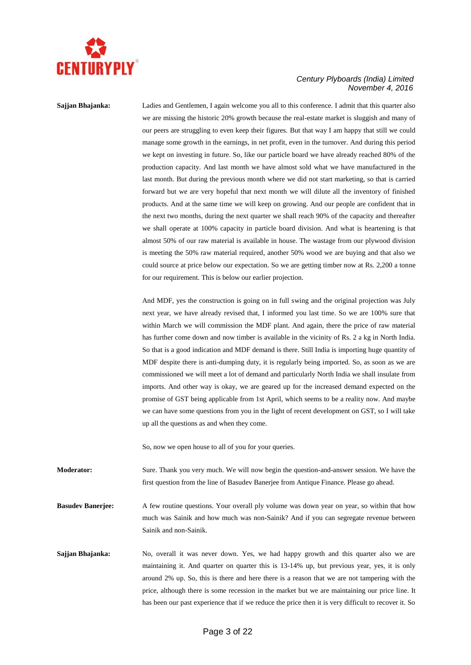

**Sajjan Bhajanka:** Ladies and Gentlemen, I again welcome you all to this conference. I admit that this quarter also we are missing the historic 20% growth because the real-estate market is sluggish and many of our peers are struggling to even keep their figures. But that way I am happy that still we could manage some growth in the earnings, in net profit, even in the turnover. And during this period we kept on investing in future. So, like our particle board we have already reached 80% of the production capacity. And last month we have almost sold what we have manufactured in the last month. But during the previous month where we did not start marketing, so that is carried forward but we are very hopeful that next month we will dilute all the inventory of finished products. And at the same time we will keep on growing. And our people are confident that in the next two months, during the next quarter we shall reach 90% of the capacity and thereafter we shall operate at 100% capacity in particle board division. And what is heartening is that almost 50% of our raw material is available in house. The wastage from our plywood division is meeting the 50% raw material required, another 50% wood we are buying and that also we could source at price below our expectation. So we are getting timber now at Rs. 2,200 a tonne for our requirement. This is below our earlier projection.

> And MDF, yes the construction is going on in full swing and the original projection was July next year, we have already revised that, I informed you last time. So we are 100% sure that within March we will commission the MDF plant. And again, there the price of raw material has further come down and now timber is available in the vicinity of Rs. 2 a kg in North India. So that is a good indication and MDF demand is there. Still India is importing huge quantity of MDF despite there is anti-dumping duty, it is regularly being imported. So, as soon as we are commissioned we will meet a lot of demand and particularly North India we shall insulate from imports. And other way is okay, we are geared up for the increased demand expected on the promise of GST being applicable from 1st April, which seems to be a reality now. And maybe we can have some questions from you in the light of recent development on GST, so I will take up all the questions as and when they come.

So, now we open house to all of you for your queries.

**Moderator:** Sure. Thank you very much. We will now begin the question-and-answer session. We have the first question from the line of Basudev Banerjee from Antique Finance. Please go ahead.

**Basudev Banerjee:** A few routine questions. Your overall ply volume was down year on year, so within that how much was Sainik and how much was non**-**Sainik? And if you can segregate revenue between Sainik and non-Sainik.

**Sajjan Bhajanka:** No, overall it was never down. Yes, we had happy growth and this quarter also we are maintaining it. And quarter on quarter this is 13-14% up, but previous year, yes, it is only around 2% up. So, this is there and here there is a reason that we are not tampering with the price, although there is some recession in the market but we are maintaining our price line. It has been our past experience that if we reduce the price then it is very difficult to recover it. So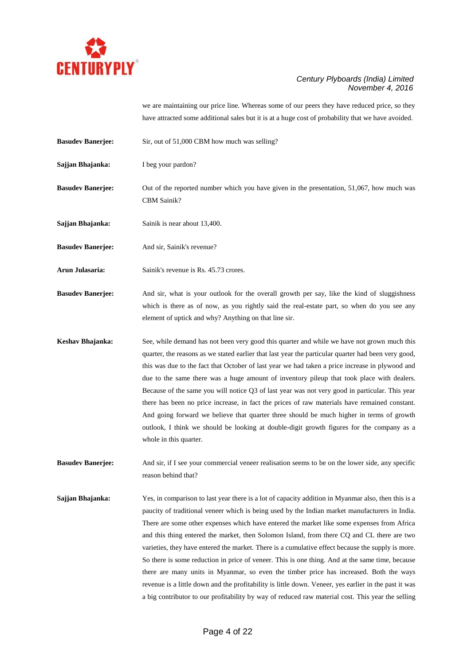

we are maintaining our price line. Whereas some of our peers they have reduced price, so they have attracted some additional sales but it is at a huge cost of probability that we have avoided.

- **Basudev Banerjee:** Sir, out of 51,000 CBM how much was selling?
- **Sajjan Bhajanka:** I beg your pardon?
- **Basudev Banerjee:** Out of the reported number which you have given in the presentation, 51,067, how much was CBM Sainik?
- **Sajjan Bhajanka:** Sainik is near about 13,400.

**Basudev Banerjee:** And sir, Sainik's revenue?

- Arun Julasaria: Sainik's revenue is Rs. 45.73 crores.
- **Basudev Banerjee:** And sir, what is your outlook for the overall growth per say, like the kind of sluggishness which is there as of now, as you rightly said the real-estate part, so when do you see any element of uptick and why? Anything on that line sir.
- **Keshav Bhajanka:** See, while demand has not been very good this quarter and while we have not grown much this quarter, the reasons as we stated earlier that last year the particular quarter had been very good, this was due to the fact that October of last year we had taken a price increase in plywood and due to the same there was a huge amount of inventory pileup that took place with dealers. Because of the same you will notice Q3 of last year was not very good in particular. This year there has been no price increase, in fact the prices of raw materials have remained constant. And going forward we believe that quarter three should be much higher in terms of growth outlook, I think we should be looking at double-digit growth figures for the company as a whole in this quarter.
- **Basudev Banerjee:** And sir, if I see your commercial veneer realisation seems to be on the lower side, any specific reason behind that?
- **Sajjan Bhajanka:** Yes, in comparison to last year there is a lot of capacity addition in Myanmar also, then this is a paucity of traditional veneer which is being used by the Indian market manufacturers in India. There are some other expenses which have entered the market like some expenses from Africa and this thing entered the market, then Solomon Island, from there CQ and CL there are two varieties, they have entered the market. There is a cumulative effect because the supply is more. So there is some reduction in price of veneer. This is one thing. And at the same time, because there are many units in Myanmar, so even the timber price has increased. Both the ways revenue is a little down and the profitability is little down. Veneer, yes earlier in the past it was a big contributor to our profitability by way of reduced raw material cost. This year the selling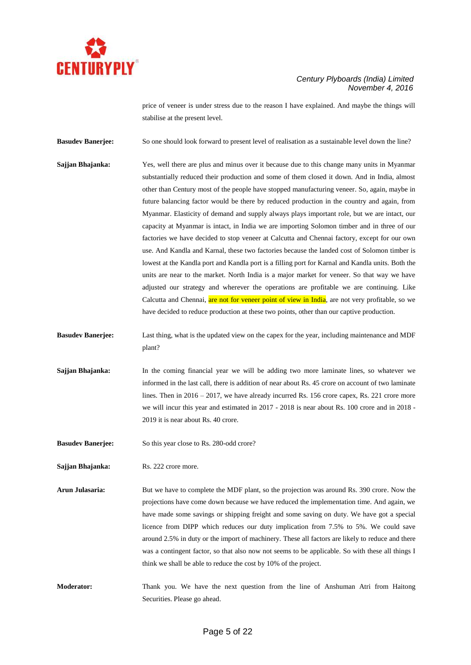

price of veneer is under stress due to the reason I have explained. And maybe the things will stabilise at the present level.

**Basudev Banerjee:** So one should look forward to present level of realisation as a sustainable level down the line?

- **Sajjan Bhajanka:** Yes, well there are plus and minus over it because due to this change many units in Myanmar substantially reduced their production and some of them closed it down. And in India, almost other than Century most of the people have stopped manufacturing veneer. So, again, maybe in future balancing factor would be there by reduced production in the country and again, from Myanmar. Elasticity of demand and supply always plays important role, but we are intact, our capacity at Myanmar is intact, in India we are importing Solomon timber and in three of our factories we have decided to stop veneer at Calcutta and Chennai factory, except for our own use. And Kandla and Karnal, these two factories because the landed cost of Solomon timber is lowest at the Kandla port and Kandla port is a filling port for Karnal and Kandla units. Both the units are near to the market. North India is a major market for veneer. So that way we have adjusted our strategy and wherever the operations are profitable we are continuing. Like Calcutta and Chennai, are not for veneer point of view in India, are not very profitable, so we have decided to reduce production at these two points, other than our captive production.
- **Basudev Banerjee:** Last thing, what is the updated view on the capex for the year, including maintenance and MDF plant?
- **Sajjan Bhajanka:** In the coming financial year we will be adding two more laminate lines, so whatever we informed in the last call, there is addition of near about Rs. 45 crore on account of two laminate lines. Then in 2016 – 2017, we have already incurred Rs. 156 crore capex, Rs. 221 crore more we will incur this year and estimated in 2017 - 2018 is near about Rs. 100 crore and in 2018 - 2019 it is near about Rs. 40 crore.
- **Basudev Banerjee:** So this year close to Rs. 280-odd crore?

**Sajjan Bhajanka:** Rs. 222 crore more.

- **Arun Julasaria:** But we have to complete the MDF plant, so the projection was around Rs. 390 crore. Now the projections have come down because we have reduced the implementation time. And again, we have made some savings or shipping freight and some saving on duty. We have got a special licence from DIPP which reduces our duty implication from 7.5% to 5%. We could save around 2.5% in duty or the import of machinery. These all factors are likely to reduce and there was a contingent factor, so that also now not seems to be applicable. So with these all things I think we shall be able to reduce the cost by 10% of the project.
- **Moderator:** Thank you. We have the next question from the line of Anshuman Atri from Haitong Securities. Please go ahead.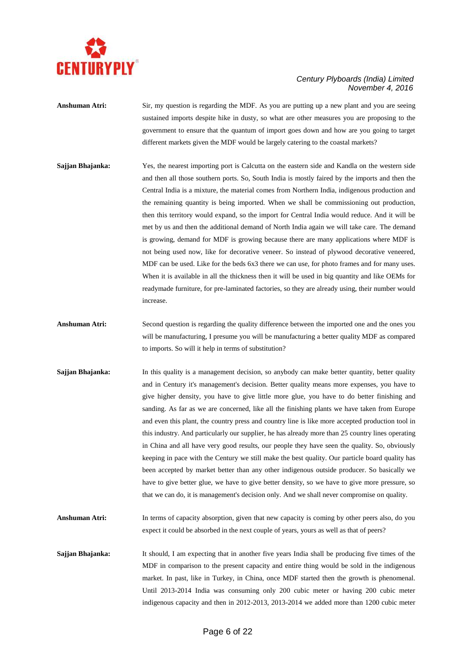

**Anshuman Atri:** Sir, my question is regarding the MDF. As you are putting up a new plant and you are seeing sustained imports despite hike in dusty, so what are other measures you are proposing to the government to ensure that the quantum of import goes down and how are you going to target different markets given the MDF would be largely catering to the coastal markets?

- **Sajjan Bhajanka:** Yes, the nearest importing port is Calcutta on the eastern side and Kandla on the western side and then all those southern ports. So, South India is mostly faired by the imports and then the Central India is a mixture, the material comes from Northern India, indigenous production and the remaining quantity is being imported. When we shall be commissioning out production, then this territory would expand, so the import for Central India would reduce. And it will be met by us and then the additional demand of North India again we will take care. The demand is growing, demand for MDF is growing because there are many applications where MDF is not being used now, like for decorative veneer. So instead of plywood decorative veneered, MDF can be used. Like for the beds 6x3 there we can use, for photo frames and for many uses. When it is available in all the thickness then it will be used in big quantity and like OEMs for readymade furniture, for pre-laminated factories, so they are already using, their number would increase.
- **Anshuman Atri:** Second question is regarding the quality difference between the imported one and the ones you will be manufacturing, I presume you will be manufacturing a better quality MDF as compared to imports. So will it help in terms of substitution?
- **Sajjan Bhajanka:** In this quality is a management decision, so anybody can make better quantity, better quality and in Century it's management's decision. Better quality means more expenses, you have to give higher density, you have to give little more glue, you have to do better finishing and sanding. As far as we are concerned, like all the finishing plants we have taken from Europe and even this plant, the country press and country line is like more accepted production tool in this industry. And particularly our supplier, he has already more than 25 country lines operating in China and all have very good results, our people they have seen the quality. So, obviously keeping in pace with the Century we still make the best quality. Our particle board quality has been accepted by market better than any other indigenous outside producer. So basically we have to give better glue, we have to give better density, so we have to give more pressure, so that we can do, it is management's decision only. And we shall never compromise on quality.
- **Anshuman Atri:** In terms of capacity absorption, given that new capacity is coming by other peers also, do you expect it could be absorbed in the next couple of years, yours as well as that of peers?
- **Sajjan Bhajanka:** It should, I am expecting that in another five years India shall be producing five times of the MDF in comparison to the present capacity and entire thing would be sold in the indigenous market. In past, like in Turkey, in China, once MDF started then the growth is phenomenal. Until 2013-2014 India was consuming only 200 cubic meter or having 200 cubic meter indigenous capacity and then in 2012-2013, 2013-2014 we added more than 1200 cubic meter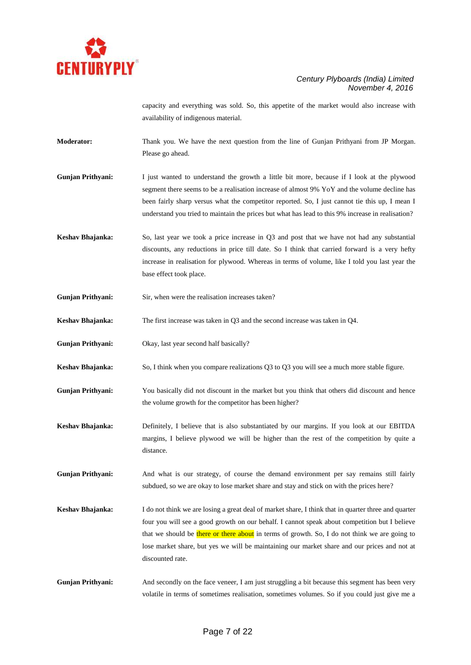

capacity and everything was sold. So, this appetite of the market would also increase with availability of indigenous material.

- **Moderator:** Thank you. We have the next question from the line of Gunjan Prithyani from JP Morgan. Please go ahead.
- **Gunjan Prithyani:** I just wanted to understand the growth a little bit more, because if I look at the plywood segment there seems to be a realisation increase of almost 9% YoY and the volume decline has been fairly sharp versus what the competitor reported. So, I just cannot tie this up, I mean I understand you tried to maintain the prices but what has lead to this 9% increase in realisation?
- **Keshav Bhajanka:** So, last year we took a price increase in Q3 and post that we have not had any substantial discounts, any reductions in price till date. So I think that carried forward is a very hefty increase in realisation for plywood. Whereas in terms of volume, like I told you last year the base effect took place.
- **Gunjan Prithyani:** Sir, when were the realisation increases taken?
- **Keshav Bhajanka:** The first increase was taken in Q3 and the second increase was taken in Q4.
- **Gunjan Prithyani:** Okay, last year second half basically?
- **Keshav Bhajanka:** So, I think when you compare realizations Q3 to Q3 you will see a much more stable figure.
- **Gunjan Prithyani:** You basically did not discount in the market but you think that others did discount and hence the volume growth for the competitor has been higher?
- **Keshav Bhajanka:** Definitely, I believe that is also substantiated by our margins. If you look at our EBITDA margins, I believe plywood we will be higher than the rest of the competition by quite a distance.
- **Gunjan Prithyani:** And what is our strategy, of course the demand environment per say remains still fairly subdued, so we are okay to lose market share and stay and stick on with the prices here?
- **Keshav Bhajanka:** I do not think we are losing a great deal of market share, I think that in quarter three and quarter four you will see a good growth on our behalf. I cannot speak about competition but I believe that we should be there or there about in terms of growth. So, I do not think we are going to lose market share, but yes we will be maintaining our market share and our prices and not at discounted rate.
- Gunjan Prithyani: And secondly on the face veneer, I am just struggling a bit because this segment has been very volatile in terms of sometimes realisation, sometimes volumes. So if you could just give me a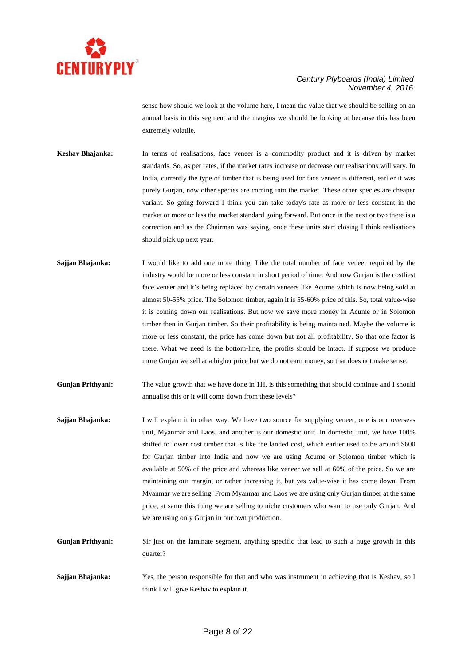

sense how should we look at the volume here, I mean the value that we should be selling on an annual basis in this segment and the margins we should be looking at because this has been extremely volatile.

**Keshav Bhajanka:** In terms of realisations, face veneer is a commodity product and it is driven by market standards. So, as per rates, if the market rates increase or decrease our realisations will vary. In India, currently the type of timber that is being used for face veneer is different, earlier it was purely Gurjan, now other species are coming into the market. These other species are cheaper variant. So going forward I think you can take today's rate as more or less constant in the market or more or less the market standard going forward. But once in the next or two there is a correction and as the Chairman was saying, once these units start closing I think realisations should pick up next year.

**Sajjan Bhajanka:** I would like to add one more thing. Like the total number of face veneer required by the industry would be more or less constant in short period of time. And now Gurjan is the costliest face veneer and it's being replaced by certain veneers like Acume which is now being sold at almost 50-55% price. The Solomon timber, again it is 55-60% price of this. So, total value-wise it is coming down our realisations. But now we save more money in Acume or in Solomon timber then in Gurjan timber. So their profitability is being maintained. Maybe the volume is more or less constant, the price has come down but not all profitability. So that one factor is there. What we need is the bottom-line, the profits should be intact. If suppose we produce more Gurjan we sell at a higher price but we do not earn money, so that does not make sense.

**Gunjan Prithyani:** The value growth that we have done in 1H, is this something that should continue and I should annualise this or it will come down from these levels?

- **Sajjan Bhajanka:** I will explain it in other way. We have two source for supplying veneer, one is our overseas unit, Myanmar and Laos, and another is our domestic unit. In domestic unit, we have 100% shifted to lower cost timber that is like the landed cost, which earlier used to be around \$600 for Gurjan timber into India and now we are using Acume or Solomon timber which is available at 50% of the price and whereas like veneer we sell at 60% of the price. So we are maintaining our margin, or rather increasing it, but yes value-wise it has come down. From Myanmar we are selling. From Myanmar and Laos we are using only Gurjan timber at the same price, at same this thing we are selling to niche customers who want to use only Gurjan. And we are using only Gurjan in our own production.
- **Gunjan Prithyani:** Sir just on the laminate segment, anything specific that lead to such a huge growth in this quarter?
- **Sajjan Bhajanka:** Yes, the person responsible for that and who was instrument in achieving that is Keshav, so I think I will give Keshav to explain it.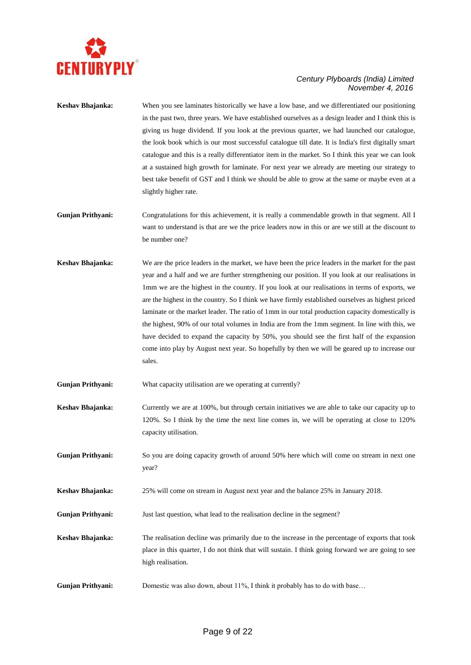

- **Keshav Bhajanka:** When you see laminates historically we have a low base, and we differentiated our positioning in the past two, three years. We have established ourselves as a design leader and I think this is giving us huge dividend. If you look at the previous quarter, we had launched our catalogue, the look book which is our most successful catalogue till date. It is India's first digitally smart catalogue and this is a really differentiator item in the market. So I think this year we can look at a sustained high growth for laminate. For next year we already are meeting our strategy to best take benefit of GST and I think we should be able to grow at the same or maybe even at a slightly higher rate.
- **Gunjan Prithyani:** Congratulations for this achievement, it is really a commendable growth in that segment. All I want to understand is that are we the price leaders now in this or are we still at the discount to be number one?
- **Keshav Bhajanka:** We are the price leaders in the market, we have been the price leaders in the market for the past year and a half and we are further strengthening our position. If you look at our realisations in 1mm we are the highest in the country. If you look at our realisations in terms of exports, we are the highest in the country. So I think we have firmly established ourselves as highest priced laminate or the market leader. The ratio of 1mm in our total production capacity domestically is the highest, 90% of our total volumes in India are from the 1mm segment. In line with this, we have decided to expand the capacity by 50%, you should see the first half of the expansion come into play by August next year. So hopefully by then we will be geared up to increase our sales.
- Gunjan Prithyani: What capacity utilisation are we operating at currently?
- **Keshav Bhajanka:** Currently we are at 100%, but through certain initiatives we are able to take our capacity up to 120%. So I think by the time the next line comes in, we will be operating at close to 120% capacity utilisation.
- Gunjan Prithyani: So you are doing capacity growth of around 50% here which will come on stream in next one year?
- **Keshav Bhajanka:** 25% will come on stream in August next year and the balance 25% in January 2018.
- **Gunjan Prithyani:** Just last question, what lead to the realisation decline in the segment?
- **Keshav Bhajanka:** The realisation decline was primarily due to the increase in the percentage of exports that took place in this quarter, I do not think that will sustain. I think going forward we are going to see high realisation.
- **Gunjan Prithyani:** Domestic was also down, about 11%, I think it probably has to do with base…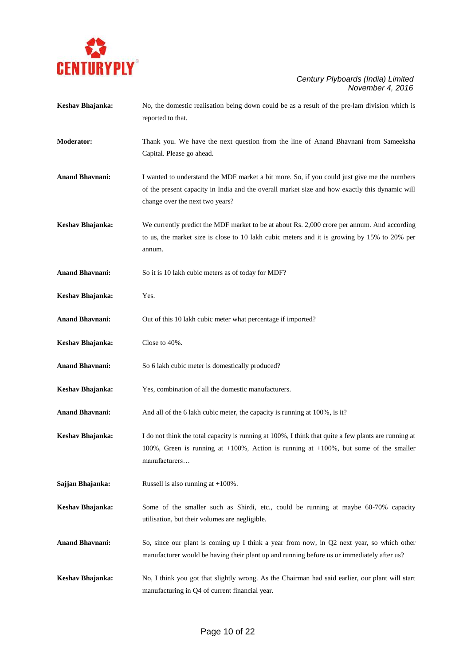

| Keshav Bhajanka:       | No, the domestic realisation being down could be as a result of the pre-lam division which is<br>reported to that.                                                                                                               |
|------------------------|----------------------------------------------------------------------------------------------------------------------------------------------------------------------------------------------------------------------------------|
| <b>Moderator:</b>      | Thank you. We have the next question from the line of Anand Bhavnani from Sameeksha<br>Capital. Please go ahead.                                                                                                                 |
| <b>Anand Bhavnani:</b> | I wanted to understand the MDF market a bit more. So, if you could just give me the numbers<br>of the present capacity in India and the overall market size and how exactly this dynamic will<br>change over the next two years? |
| Keshav Bhajanka:       | We currently predict the MDF market to be at about Rs. 2,000 crore per annum. And according<br>to us, the market size is close to 10 lakh cubic meters and it is growing by 15% to 20% per<br>annum.                             |
| <b>Anand Bhavnani:</b> | So it is 10 lakh cubic meters as of today for MDF?                                                                                                                                                                               |
| Keshav Bhajanka:       | Yes.                                                                                                                                                                                                                             |
| <b>Anand Bhavnani:</b> | Out of this 10 lakh cubic meter what percentage if imported?                                                                                                                                                                     |
| Keshav Bhajanka:       | Close to 40%.                                                                                                                                                                                                                    |
| <b>Anand Bhavnani:</b> | So 6 lakh cubic meter is domestically produced?                                                                                                                                                                                  |
| Keshav Bhajanka:       | Yes, combination of all the domestic manufacturers.                                                                                                                                                                              |
| <b>Anand Bhavnani:</b> | And all of the 6 lakh cubic meter, the capacity is running at 100%, is it?                                                                                                                                                       |
| Keshav Bhajanka:       | I do not think the total capacity is running at 100%, I think that quite a few plants are running at<br>100%, Green is running at $+100$ %, Action is running at $+100$ %, but some of the smaller<br>manufacturers              |
| Sajjan Bhajanka:       | Russell is also running at $+100\%$ .                                                                                                                                                                                            |
| Keshav Bhajanka:       | Some of the smaller such as Shirdi, etc., could be running at maybe 60-70% capacity<br>utilisation, but their volumes are negligible.                                                                                            |
| <b>Anand Bhavnani:</b> | So, since our plant is coming up I think a year from now, in Q2 next year, so which other<br>manufacturer would be having their plant up and running before us or immediately after us?                                          |
| Keshav Bhajanka:       | No, I think you got that slightly wrong. As the Chairman had said earlier, our plant will start<br>manufacturing in Q4 of current financial year.                                                                                |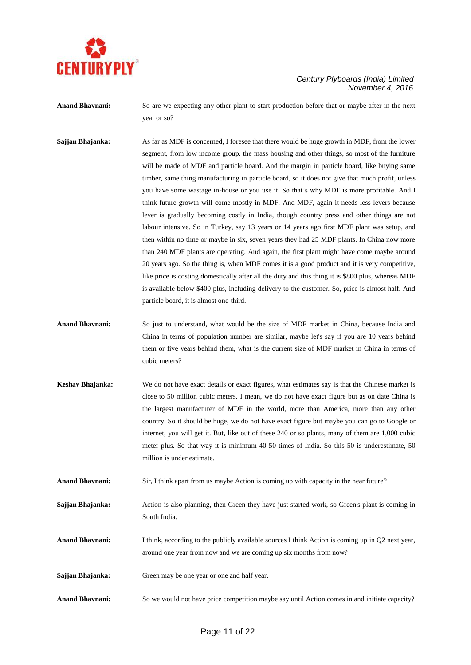

**Anand Bhavnani:** So are we expecting any other plant to start production before that or maybe after in the next year or so?

- **Sajjan Bhajanka:** As far as MDF is concerned, I foresee that there would be huge growth in MDF, from the lower segment, from low income group, the mass housing and other things, so most of the furniture will be made of MDF and particle board. And the margin in particle board, like buying same timber, same thing manufacturing in particle board, so it does not give that much profit, unless you have some wastage in-house or you use it. So that's why MDF is more profitable. And I think future growth will come mostly in MDF. And MDF, again it needs less levers because lever is gradually becoming costly in India, though country press and other things are not labour intensive. So in Turkey, say 13 years or 14 years ago first MDF plant was setup, and then within no time or maybe in six, seven years they had 25 MDF plants. In China now more than 240 MDF plants are operating. And again, the first plant might have come maybe around 20 years ago. So the thing is, when MDF comes it is a good product and it is very competitive, like price is costing domestically after all the duty and this thing it is \$800 plus, whereas MDF is available below \$400 plus, including delivery to the customer. So, price is almost half. And particle board, it is almost one-third.
- **Anand Bhavnani:** So just to understand, what would be the size of MDF market in China, because India and China in terms of population number are similar, maybe let's say if you are 10 years behind them or five years behind them, what is the current size of MDF market in China in terms of cubic meters?
- **Keshav Bhajanka:** We do not have exact details or exact figures, what estimates say is that the Chinese market is close to 50 million cubic meters. I mean, we do not have exact figure but as on date China is the largest manufacturer of MDF in the world, more than America, more than any other country. So it should be huge, we do not have exact figure but maybe you can go to Google or internet, you will get it. But, like out of these 240 or so plants, many of them are 1,000 cubic meter plus. So that way it is minimum 40-50 times of India. So this 50 is underestimate, 50 million is under estimate.
- **Anand Bhavnani:** Sir, I think apart from us maybe Action is coming up with capacity in the near future?
- **Sajjan Bhajanka:** Action is also planning, then Green they have just started work, so Green's plant is coming in South India.
- Anand Bhavnani: I think, according to the publicly available sources I think Action is coming up in Q2 next year, around one year from now and we are coming up six months from now?
- Sajjan Bhajanka: Green may be one year or one and half year.
- **Anand Bhavnani:** So we would not have price competition maybe say until Action comes in and initiate capacity?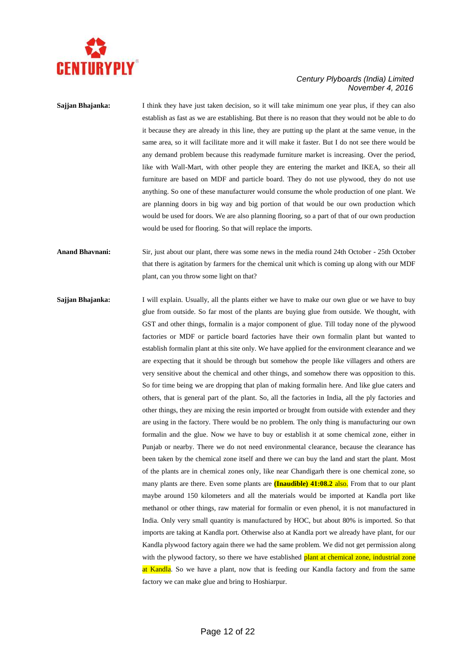

## **Sajjan Bhajanka:** I think they have just taken decision, so it will take minimum one year plus, if they can also establish as fast as we are establishing. But there is no reason that they would not be able to do it because they are already in this line, they are putting up the plant at the same venue, in the same area, so it will facilitate more and it will make it faster. But I do not see there would be any demand problem because this readymade furniture market is increasing. Over the period, like with Wall-Mart, with other people they are entering the market and IKEA, so their all furniture are based on MDF and particle board. They do not use plywood, they do not use anything. So one of these manufacturer would consume the whole production of one plant. We are planning doors in big way and big portion of that would be our own production which would be used for doors. We are also planning flooring, so a part of that of our own production would be used for flooring. So that will replace the imports.

**Anand Bhavnani:** Sir, just about our plant, there was some news in the media round 24th October - 25th October that there is agitation by farmers for the chemical unit which is coming up along with our MDF plant, can you throw some light on that?

**Sajjan Bhajanka:** I will explain. Usually, all the plants either we have to make our own glue or we have to buy glue from outside. So far most of the plants are buying glue from outside. We thought, with GST and other things, formalin is a major component of glue. Till today none of the plywood factories or MDF or particle board factories have their own formalin plant but wanted to establish formalin plant at this site only. We have applied for the environment clearance and we are expecting that it should be through but somehow the people like villagers and others are very sensitive about the chemical and other things, and somehow there was opposition to this. So for time being we are dropping that plan of making formalin here. And like glue caters and others, that is general part of the plant. So, all the factories in India, all the ply factories and other things, they are mixing the resin imported or brought from outside with extender and they are using in the factory. There would be no problem. The only thing is manufacturing our own formalin and the glue. Now we have to buy or establish it at some chemical zone, either in Punjab or nearby. There we do not need environmental clearance, because the clearance has been taken by the chemical zone itself and there we can buy the land and start the plant. Most of the plants are in chemical zones only, like near Chandigarh there is one chemical zone, so many plants are there. Even some plants are **(Inaudible) 41:08.2** also. From that to our plant maybe around 150 kilometers and all the materials would be imported at Kandla port like methanol or other things, raw material for formalin or even phenol, it is not manufactured in India. Only very small quantity is manufactured by HOC, but about 80% is imported. So that imports are taking at Kandla port. Otherwise also at Kandla port we already have plant, for our Kandla plywood factory again there we had the same problem. We did not get permission along with the plywood factory, so there we have established plant at chemical zone, industrial zone at Kandla. So we have a plant, now that is feeding our Kandla factory and from the same factory we can make glue and bring to Hoshiarpur.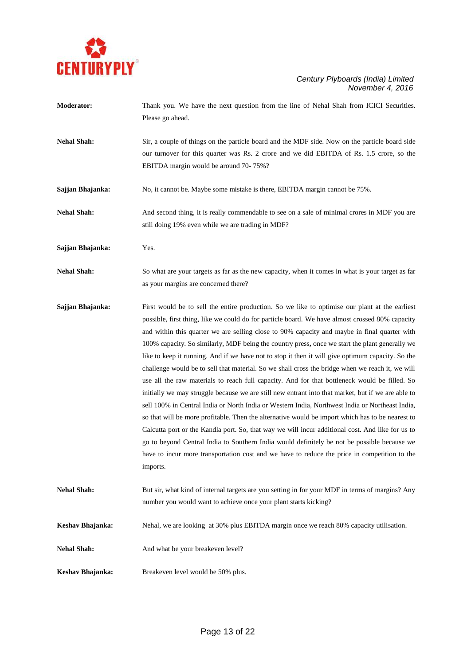

- **Moderator:** Thank you. We have the next question from the line of Nehal Shah from ICICI Securities. Please go ahead.
- **Nehal Shah:** Sir, a couple of things on the particle board and the MDF side. Now on the particle board side our turnover for this quarter was Rs. 2 crore and we did EBITDA of Rs. 1.5 crore, so the EBITDA margin would be around 70- 75%?
- **Sajjan Bhajanka:** No, it cannot be. Maybe some mistake is there, EBITDA margin cannot be 75%.
- **Nehal Shah:** And second thing, it is really commendable to see on a sale of minimal crores in MDF you are still doing 19% even while we are trading in MDF?
- **Sajjan Bhajanka:** Yes.
- **Nehal Shah:** So what are your targets as far as the new capacity, when it comes in what is your target as far as your margins are concerned there?
- **Sajjan Bhajanka:** First would be to sell the entire production. So we like to optimise our plant at the earliest possible, first thing, like we could do for particle board. We have almost crossed 80% capacity and within this quarter we are selling close to 90% capacity and maybe in final quarter with 100% capacity. So similarly, MDF being the country press**,** once we start the plant generally we like to keep it running. And if we have not to stop it then it will give optimum capacity. So the challenge would be to sell that material. So we shall cross the bridge when we reach it, we will use all the raw materials to reach full capacity. And for that bottleneck would be filled. So initially we may struggle because we are still new entrant into that market, but if we are able to sell 100% in Central India or North India or Western India, Northwest India or Northeast India, so that will be more profitable. Then the alternative would be import which has to be nearest to Calcutta port or the Kandla port. So, that way we will incur additional cost. And like for us to go to beyond Central India to Southern India would definitely be not be possible because we have to incur more transportation cost and we have to reduce the price in competition to the imports.
- **Nehal Shah:** But sir, what kind of internal targets are you setting in for your MDF in terms of margins? Any number you would want to achieve once your plant starts kicking?
- **Keshav Bhajanka:** Nehal, we are looking at 30% plus EBITDA margin once we reach 80% capacity utilisation.
- Nehal Shah: And what be your breakeven level?
- **Keshav Bhajanka:** Breakeven level would be 50% plus.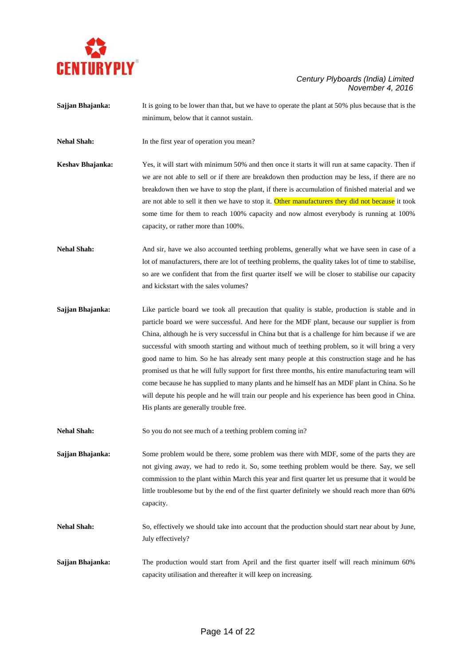

- **Sajjan Bhajanka:** It is going to be lower than that, but we have to operate the plant at 50% plus because that is the minimum, below that it cannot sustain.
- **Nehal Shah:** In the first year of operation you mean?
- **Keshav Bhajanka:** Yes, it will start with minimum 50% and then once it starts it will run at same capacity. Then if we are not able to sell or if there are breakdown then production may be less, if there are no breakdown then we have to stop the plant, if there is accumulation of finished material and we are not able to sell it then we have to stop it. Other manufacturers they did not because it took some time for them to reach 100% capacity and now almost everybody is running at 100% capacity, or rather more than 100%.
- **Nehal Shah:** And sir, have we also accounted teething problems, generally what we have seen in case of a lot of manufacturers, there are lot of teething problems, the quality takes lot of time to stabilise, so are we confident that from the first quarter itself we will be closer to stabilise our capacity and kickstart with the sales volumes?
- **Sajjan Bhajanka:** Like particle board we took all precaution that quality is stable, production is stable and in particle board we were successful. And here for the MDF plant, because our supplier is from China, although he is very successful in China but that is a challenge for him because if we are successful with smooth starting and without much of teething problem, so it will bring a very good name to him. So he has already sent many people at this construction stage and he has promised us that he will fully support for first three months, his entire manufacturing team will come because he has supplied to many plants and he himself has an MDF plant in China. So he will depute his people and he will train our people and his experience has been good in China. His plants are generally trouble free.
- Nehal Shah: So you do not see much of a teething problem coming in?
- **Sajjan Bhajanka:** Some problem would be there, some problem was there with MDF, some of the parts they are not giving away, we had to redo it. So, some teething problem would be there. Say, we sell commission to the plant within March this year and first quarter let us presume that it would be little troublesome but by the end of the first quarter definitely we should reach more than 60% capacity.
- **Nehal Shah:** So, effectively we should take into account that the production should start near about by June, July effectively?
- **Sajjan Bhajanka:** The production would start from April and the first quarter itself will reach minimum 60% capacity utilisation and thereafter it will keep on increasing.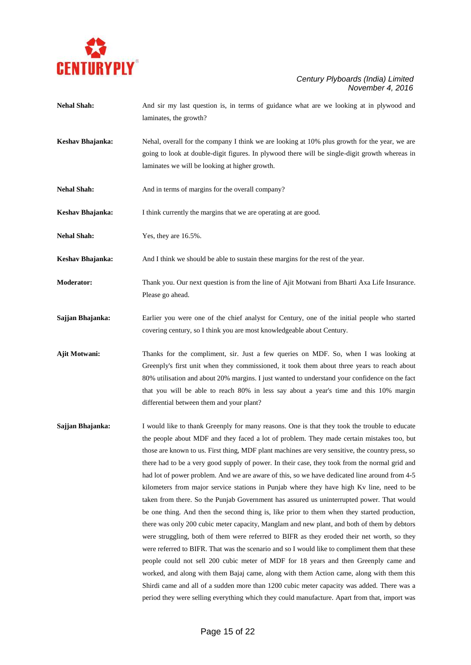

- **Nehal Shah:** And sir my last question is, in terms of guidance what are we looking at in plywood and laminates, the growth?
- **Keshav Bhajanka:** Nehal, overall for the company I think we are looking at 10% plus growth for the year, we are going to look at double-digit figures. In plywood there will be single-digit growth whereas in laminates we will be looking at higher growth.
- **Nehal Shah:** And in terms of margins for the overall company?
- **Keshav Bhajanka:** I think currently the margins that we are operating at are good.
- **Nehal Shah:** Yes, they are  $16.5\%$ .
- **Keshav Bhajanka:** And I think we should be able to sustain these margins for the rest of the year.
- **Moderator:** Thank you. Our next question is from the line of Ajit Motwani from Bharti Axa Life Insurance. Please go ahead.
- **Sajjan Bhajanka:** Earlier you were one of the chief analyst for Century, one of the initial people who started covering century, so I think you are most knowledgeable about Century.
- **Ajit Motwani:** Thanks for the compliment, sir. Just a few queries on MDF. So, when I was looking at Greenply's first unit when they commissioned, it took them about three years to reach about 80% utilisation and about 20% margins. I just wanted to understand your confidence on the fact that you will be able to reach 80% in less say about a year's time and this 10% margin differential between them and your plant?
- **Sajjan Bhajanka:** I would like to thank Greenply for many reasons. One is that they took the trouble to educate the people about MDF and they faced a lot of problem. They made certain mistakes too, but those are known to us. First thing, MDF plant machines are very sensitive, the country press, so there had to be a very good supply of power. In their case, they took from the normal grid and had lot of power problem. And we are aware of this, so we have dedicated line around from 4-5 kilometers from major service stations in Punjab where they have high Kv line, need to be taken from there. So the Punjab Government has assured us uninterrupted power. That would be one thing. And then the second thing is, like prior to them when they started production, there was only 200 cubic meter capacity, Manglam and new plant, and both of them by debtors were struggling, both of them were referred to BIFR as they eroded their net worth, so they were referred to BIFR. That was the scenario and so I would like to compliment them that these people could not sell 200 cubic meter of MDF for 18 years and then Greenply came and worked, and along with them Bajaj came, along with them Action came, along with them this Shirdi came and all of a sudden more than 1200 cubic meter capacity was added. There was a period they were selling everything which they could manufacture. Apart from that, import was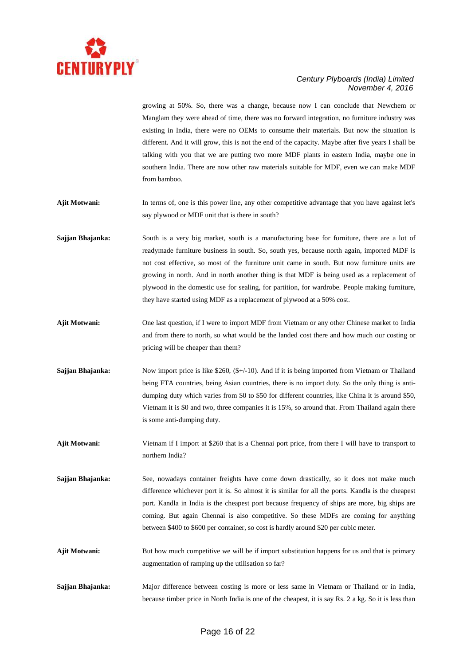

growing at 50%. So, there was a change, because now I can conclude that Newchem or Manglam they were ahead of time, there was no forward integration, no furniture industry was existing in India, there were no OEMs to consume their materials. But now the situation is different. And it will grow, this is not the end of the capacity. Maybe after five years I shall be talking with you that we are putting two more MDF plants in eastern India, maybe one in southern India. There are now other raw materials suitable for MDF, even we can make MDF from bamboo.

- Ajit Motwani: In terms of, one is this power line, any other competitive advantage that you have against let's say plywood or MDF unit that is there in south?
- **Sajjan Bhajanka:** South is a very big market, south is a manufacturing base for furniture, there are a lot of readymade furniture business in south. So, south yes, because north again, imported MDF is not cost effective, so most of the furniture unit came in south. But now furniture units are growing in north. And in north another thing is that MDF is being used as a replacement of plywood in the domestic use for sealing, for partition, for wardrobe. People making furniture, they have started using MDF as a replacement of plywood at a 50% cost.
- **Ajit Motwani:** One last question, if I were to import MDF from Vietnam or any other Chinese market to India and from there to north, so what would be the landed cost there and how much our costing or pricing will be cheaper than them?
- **Sajjan Bhajanka:** Now import price is like \$260, (\$+/-10). And if it is being imported from Vietnam or Thailand being FTA countries, being Asian countries, there is no import duty. So the only thing is antidumping duty which varies from \$0 to \$50 for different countries, like China it is around \$50, Vietnam it is \$0 and two, three companies it is 15%, so around that. From Thailand again there is some anti-dumping duty.
- **Ajit Motwani:** Vietnam if I import at \$260 that is a Chennai port price, from there I will have to transport to northern India?
- Sajjan Bhajanka: See, nowadays container freights have come down drastically, so it does not make much difference whichever port it is. So almost it is similar for all the ports. Kandla is the cheapest port. Kandla in India is the cheapest port because frequency of ships are more, big ships are coming. But again Chennai is also competitive. So these MDFs are coming for anything between \$400 to \$600 per container, so cost is hardly around \$20 per cubic meter.
- **Ajit Motwani:** But how much competitive we will be if import substitution happens for us and that is primary augmentation of ramping up the utilisation so far?
- **Sajjan Bhajanka:** Major difference between costing is more or less same in Vietnam or Thailand or in India, because timber price in North India is one of the cheapest, it is say Rs. 2 a kg. So it is less than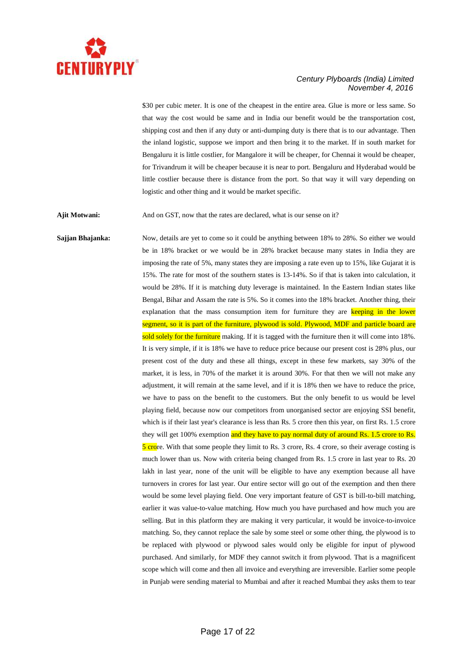

\$30 per cubic meter. It is one of the cheapest in the entire area. Glue is more or less same. So that way the cost would be same and in India our benefit would be the transportation cost, shipping cost and then if any duty or anti-dumping duty is there that is to our advantage. Then the inland logistic, suppose we import and then bring it to the market. If in south market for Bengaluru it is little costlier, for Mangalore it will be cheaper, for Chennai it would be cheaper, for Trivandrum it will be cheaper because it is near to port. Bengaluru and Hyderabad would be little costlier because there is distance from the port. So that way it will vary depending on logistic and other thing and it would be market specific.

Ajit Motwani: And on GST, now that the rates are declared, what is our sense on it?

**Sajjan Bhajanka:** Now, details are yet to come so it could be anything between 18% to 28%. So either we would be in 18% bracket or we would be in 28% bracket because many states in India they are imposing the rate of 5%, many states they are imposing a rate even up to 15%, like Gujarat it is 15%. The rate for most of the southern states is 13-14%. So if that is taken into calculation, it would be 28%. If it is matching duty leverage is maintained. In the Eastern Indian states like Bengal, Bihar and Assam the rate is 5%. So it comes into the 18% bracket. Another thing, their explanation that the mass consumption item for furniture they are keeping in the lower segment, so it is part of the furniture, plywood is sold. Plywood, MDF and particle board are sold solely for the furniture making. If it is tagged with the furniture then it will come into 18%. It is very simple, if it is 18% we have to reduce price because our present cost is 28% plus, our present cost of the duty and these all things, except in these few markets, say 30% of the market, it is less, in 70% of the market it is around 30%. For that then we will not make any adjustment, it will remain at the same level, and if it is 18% then we have to reduce the price, we have to pass on the benefit to the customers. But the only benefit to us would be level playing field, because now our competitors from unorganised sector are enjoying SSI benefit, which is if their last year's clearance is less than Rs. 5 crore then this year, on first Rs. 1.5 crore they will get 100% exemption and they have to pay normal duty of around Rs. 1.5 crore to Rs. 5 crore. With that some people they limit to Rs. 3 crore, Rs. 4 crore, so their average costing is much lower than us. Now with criteria being changed from Rs. 1.5 crore in last year to Rs. 20 lakh in last year, none of the unit will be eligible to have any exemption because all have turnovers in crores for last year. Our entire sector will go out of the exemption and then there would be some level playing field. One very important feature of GST is bill-to-bill matching, earlier it was value-to-value matching. How much you have purchased and how much you are selling. But in this platform they are making it very particular, it would be invoice-to-invoice matching. So, they cannot replace the sale by some steel or some other thing, the plywood is to be replaced with plywood or plywood sales would only be eligible for input of plywood purchased. And similarly, for MDF they cannot switch it from plywood. That is a magnificent scope which will come and then all invoice and everything are irreversible. Earlier some people in Punjab were sending material to Mumbai and after it reached Mumbai they asks them to tear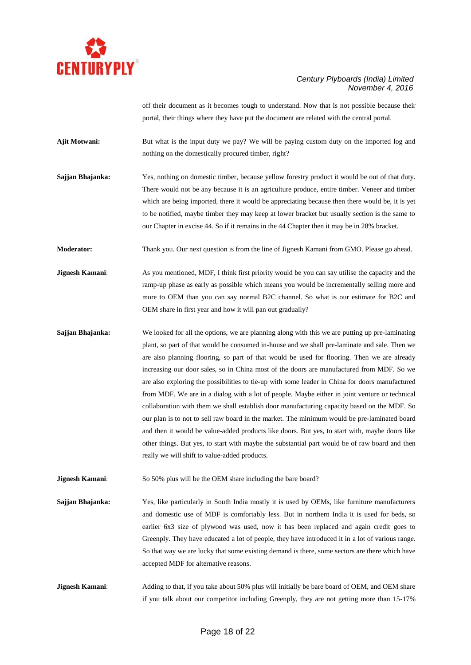

off their document as it becomes tough to understand. Now that is not possible because their portal, their things where they have put the document are related with the central portal.

**Ajit Motwani:** But what is the input duty we pay? We will be paying custom duty on the imported log and nothing on the domestically procured timber, right?

**Sajjan Bhajanka:** Yes, nothing on domestic timber, because yellow forestry product it would be out of that duty. There would not be any because it is an agriculture produce, entire timber. Veneer and timber which are being imported, there it would be appreciating because then there would be, it is yet to be notified, maybe timber they may keep at lower bracket but usually section is the same to our Chapter in excise 44. So if it remains in the 44 Chapter then it may be in 28% bracket.

**Moderator:** Thank you. Our next question is from the line of Jignesh Kamani from GMO. Please go ahead.

**Jignesh Kamani:** As you mentioned, MDF, I think first priority would be you can say utilise the capacity and the ramp-up phase as early as possible which means you would be incrementally selling more and more to OEM than you can say normal B2C channel. So what is our estimate for B2C and OEM share in first year and how it will pan out gradually?

- **Sajjan Bhajanka:** We looked for all the options, we are planning along with this we are putting up pre-laminating plant, so part of that would be consumed in-house and we shall pre-laminate and sale. Then we are also planning flooring, so part of that would be used for flooring. Then we are already increasing our door sales, so in China most of the doors are manufactured from MDF. So we are also exploring the possibilities to tie-up with some leader in China for doors manufactured from MDF. We are in a dialog with a lot of people. Maybe either in joint venture or technical collaboration with them we shall establish door manufacturing capacity based on the MDF. So our plan is to not to sell raw board in the market. The minimum would be pre-laminated board and then it would be value-added products like doors. But yes, to start with, maybe doors like other things. But yes, to start with maybe the substantial part would be of raw board and then really we will shift to value-added products.
- **Jignesh Kamani:** So 50% plus will be the OEM share including the bare board?
- **Sajjan Bhajanka:** Yes, like particularly in South India mostly it is used by OEMs, like furniture manufacturers and domestic use of MDF is comfortably less. But in northern India it is used for beds, so earlier 6x3 size of plywood was used, now it has been replaced and again credit goes to Greenply. They have educated a lot of people, they have introduced it in a lot of various range. So that way we are lucky that some existing demand is there, some sectors are there which have accepted MDF for alternative reasons.
- **Jignesh Kamani:** Adding to that, if you take about 50% plus will initially be bare board of OEM, and OEM share if you talk about our competitor including Greenply, they are not getting more than 15-17%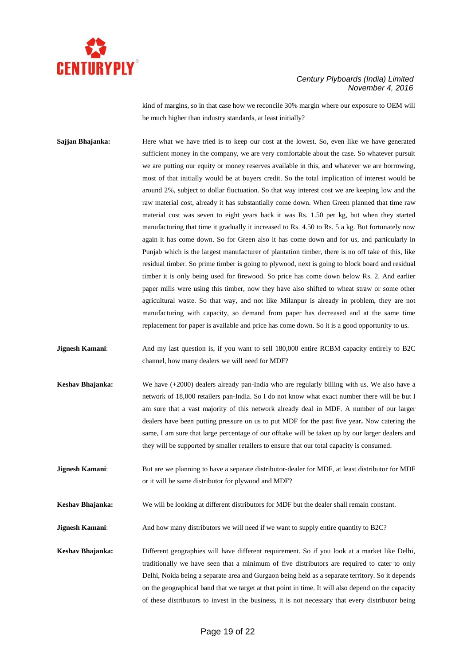

kind of margins, so in that case how we reconcile 30% margin where our exposure to OEM will be much higher than industry standards, at least initially?

**Sajjan Bhajanka:** Here what we have tried is to keep our cost at the lowest. So, even like we have generated sufficient money in the company, we are very comfortable about the case. So whatever pursuit we are putting our equity or money reserves available in this, and whatever we are borrowing, most of that initially would be at buyers credit. So the total implication of interest would be around 2%, subject to dollar fluctuation. So that way interest cost we are keeping low and the raw material cost, already it has substantially come down. When Green planned that time raw material cost was seven to eight years back it was Rs. 1.50 per kg, but when they started manufacturing that time it gradually it increased to Rs. 4.50 to Rs. 5 a kg. But fortunately now again it has come down. So for Green also it has come down and for us, and particularly in Punjab which is the largest manufacturer of plantation timber, there is no off take of this, like residual timber. So prime timber is going to plywood, next is going to block board and residual timber it is only being used for firewood. So price has come down below Rs. 2. And earlier paper mills were using this timber, now they have also shifted to wheat straw or some other agricultural waste. So that way, and not like Milanpur is already in problem, they are not manufacturing with capacity, so demand from paper has decreased and at the same time replacement for paper is available and price has come down. So it is a good opportunity to us.

**Jignesh Kamani**: And my last question is, if you want to sell 180,000 entire RCBM capacity entirely to B2C channel, how many dealers we will need for MDF?

- **Keshav Bhajanka:** We have (+2000) dealers already pan-India who are regularly billing with us. We also have a network of 18,000 retailers pan-India. So I do not know what exact number there will be but I am sure that a vast majority of this network already deal in MDF. A number of our larger dealers have been putting pressure on us to put MDF for the past five year**.** Now catering the same, I am sure that large percentage of our offtake will be taken up by our larger dealers and they will be supported by smaller retailers to ensure that our total capacity is consumed.
- **Jignesh Kamani:** But are we planning to have a separate distributor-dealer for MDF, at least distributor for MDF or it will be same distributor for plywood and MDF?

**Keshav Bhajanka:** We will be looking at different distributors for MDF but the dealer shall remain constant.

**Jignesh Kamani:** And how many distributors we will need if we want to supply entire quantity to B2C?

**Keshav Bhajanka:** Different geographies will have different requirement. So if you look at a market like Delhi, traditionally we have seen that a minimum of five distributors are required to cater to only Delhi, Noida being a separate area and Gurgaon being held as a separate territory. So it depends on the geographical band that we target at that point in time. It will also depend on the capacity of these distributors to invest in the business, it is not necessary that every distributor being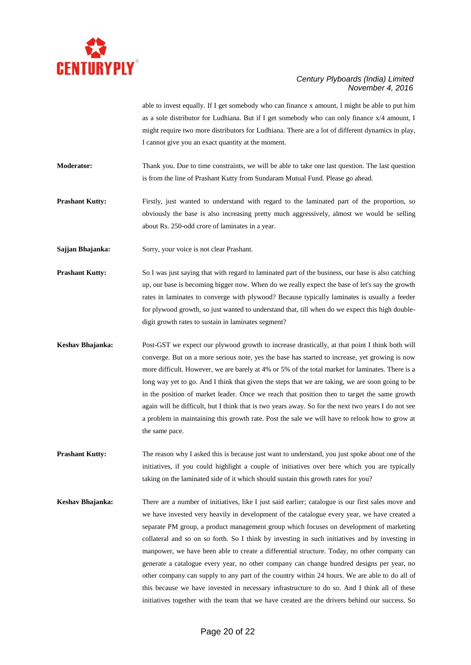

able to invest equally. If I get somebody who can finance x amount, I might be able to put him as a sole distributor for Ludhiana. But if I get somebody who can only finance x/4 amount, I might require two more distributors for Ludhiana. There are a lot of different dynamics in play, I cannot give you an exact quantity at the moment.

**Moderator:** Thank you. Due to time constraints, we will be able to take one last question. The last question is from the line of Prashant Kutty from Sundaram Mutual Fund. Please go ahead.

**Prashant Kutty:** Firstly, just wanted to understand with regard to the laminated part of the proportion, so obviously the base is also increasing pretty much aggressively, almost we would be selling about Rs. 250-odd crore of laminates in a year.

**Sajjan Bhajanka:** Sorry, your voice is not clear Prashant.

**Prashant Kutty:** So I was just saying that with regard to laminated part of the business, our base is also catching up, our base is becoming bigger now. When do we really expect the base of let's say the growth rates in laminates to converge with plywood? Because typically laminates is usually a feeder for plywood growth, so just wanted to understand that, till when do we expect this high doubledigit growth rates to sustain in laminates segment?

**Keshav Bhajanka:** Post-GST we expect our plywood growth to increase drastically, at that point I think both will converge. But on a more serious note, yes the base has started to increase, yet growing is now more difficult. However, we are barely at 4% or 5% of the total market for laminates. There is a long way yet to go. And I think that given the steps that we are taking, we are soon going to be in the position of market leader. Once we reach that position then to target the same growth again will be difficult, but I think that is two years away. So for the next two years I do not see a problem in maintaining this growth rate. Post the sale we will have to relook how to grow at the same pace.

**Prashant Kutty:** The reason why I asked this is because just want to understand, you just spoke about one of the initiatives, if you could highlight a couple of initiatives over here which you are typically taking on the laminated side of it which should sustain this growth rates for you?

**Keshav Bhajanka:** There are a number of initiatives, like I just said earlier; catalogue is our first sales move and we have invested very heavily in development of the catalogue every year, we have created a separate PM group, a product management group which focuses on development of marketing collateral and so on so forth. So I think by investing in such initiatives and by investing in manpower, we have been able to create a differential structure. Today, no other company can generate a catalogue every year, no other company can change hundred designs per year, no other company can supply to any part of the country within 24 hours. We are able to do all of this because we have invested in necessary infrastructure to do so. And I think all of these initiatives together with the team that we have created are the drivers behind our success. So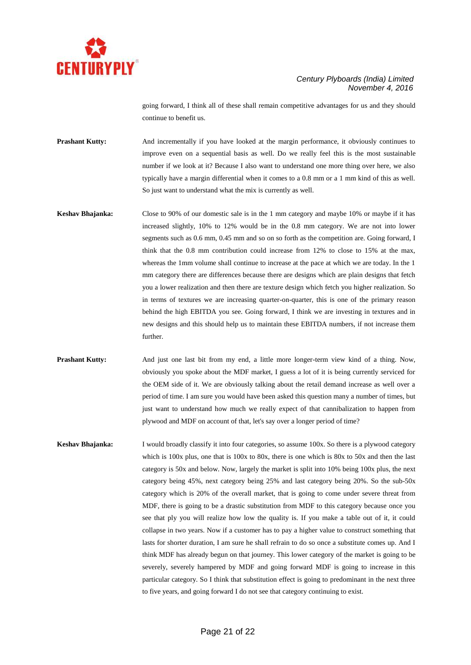

going forward, I think all of these shall remain competitive advantages for us and they should continue to benefit us.

**Prashant Kutty:** And incrementally if you have looked at the margin performance, it obviously continues to improve even on a sequential basis as well. Do we really feel this is the most sustainable number if we look at it? Because I also want to understand one more thing over here, we also typically have a margin differential when it comes to a 0.8 mm or a 1 mm kind of this as well. So just want to understand what the mix is currently as well.

- **Keshav Bhajanka:** Close to 90% of our domestic sale is in the 1 mm category and maybe 10% or maybe if it has increased slightly, 10% to 12% would be in the 0.8 mm category. We are not into lower segments such as 0.6 mm, 0.45 mm and so on so forth as the competition are. Going forward, I think that the 0.8 mm contribution could increase from 12% to close to 15% at the max, whereas the 1mm volume shall continue to increase at the pace at which we are today. In the 1 mm category there are differences because there are designs which are plain designs that fetch you a lower realization and then there are texture design which fetch you higher realization. So in terms of textures we are increasing quarter-on-quarter, this is one of the primary reason behind the high EBITDA you see. Going forward, I think we are investing in textures and in new designs and this should help us to maintain these EBITDA numbers, if not increase them further.
- **Prashant Kutty:** And just one last bit from my end, a little more longer-term view kind of a thing. Now, obviously you spoke about the MDF market, I guess a lot of it is being currently serviced for the OEM side of it. We are obviously talking about the retail demand increase as well over a period of time. I am sure you would have been asked this question many a number of times, but just want to understand how much we really expect of that cannibalization to happen from plywood and MDF on account of that, let's say over a longer period of time?
- **Keshav Bhajanka:** I would broadly classify it into four categories, so assume 100x. So there is a plywood category which is  $100x$  plus, one that is  $100x$  to  $80x$ , there is one which is  $80x$  to  $50x$  and then the last category is 50x and below. Now, largely the market is split into 10% being 100x plus, the next category being 45%, next category being 25% and last category being 20%. So the sub-50x category which is 20% of the overall market, that is going to come under severe threat from MDF, there is going to be a drastic substitution from MDF to this category because once you see that ply you will realize how low the quality is. If you make a table out of it, it could collapse in two years. Now if a customer has to pay a higher value to construct something that lasts for shorter duration, I am sure he shall refrain to do so once a substitute comes up. And I think MDF has already begun on that journey. This lower category of the market is going to be severely, severely hampered by MDF and going forward MDF is going to increase in this particular category. So I think that substitution effect is going to predominant in the next three to five years, and going forward I do not see that category continuing to exist.